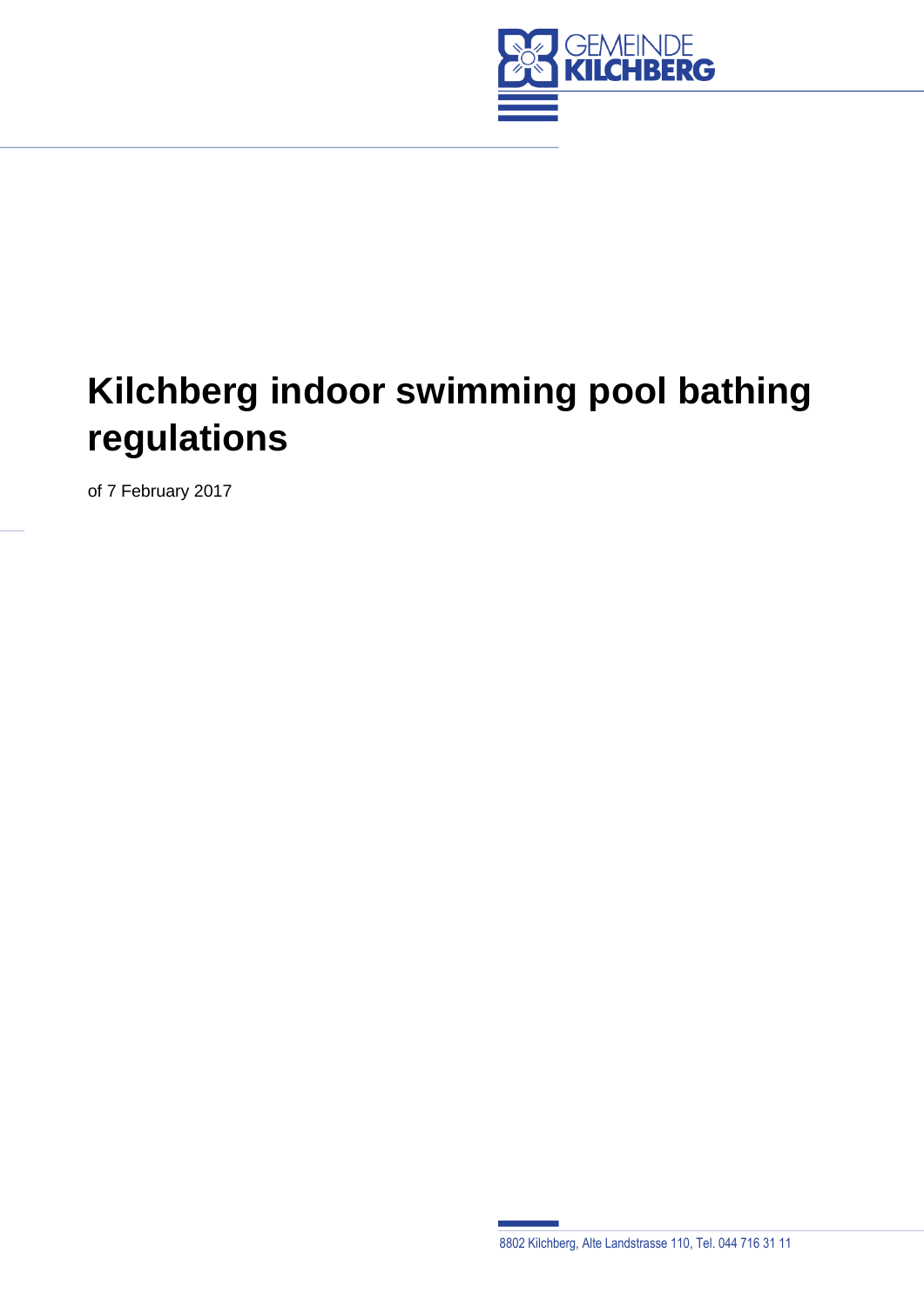

# **Kilchberg indoor swimming pool bathing regulations**

of 7 February 2017

8802 Kilchberg, Alte Landstrasse 110, Tel. 044 716 31 11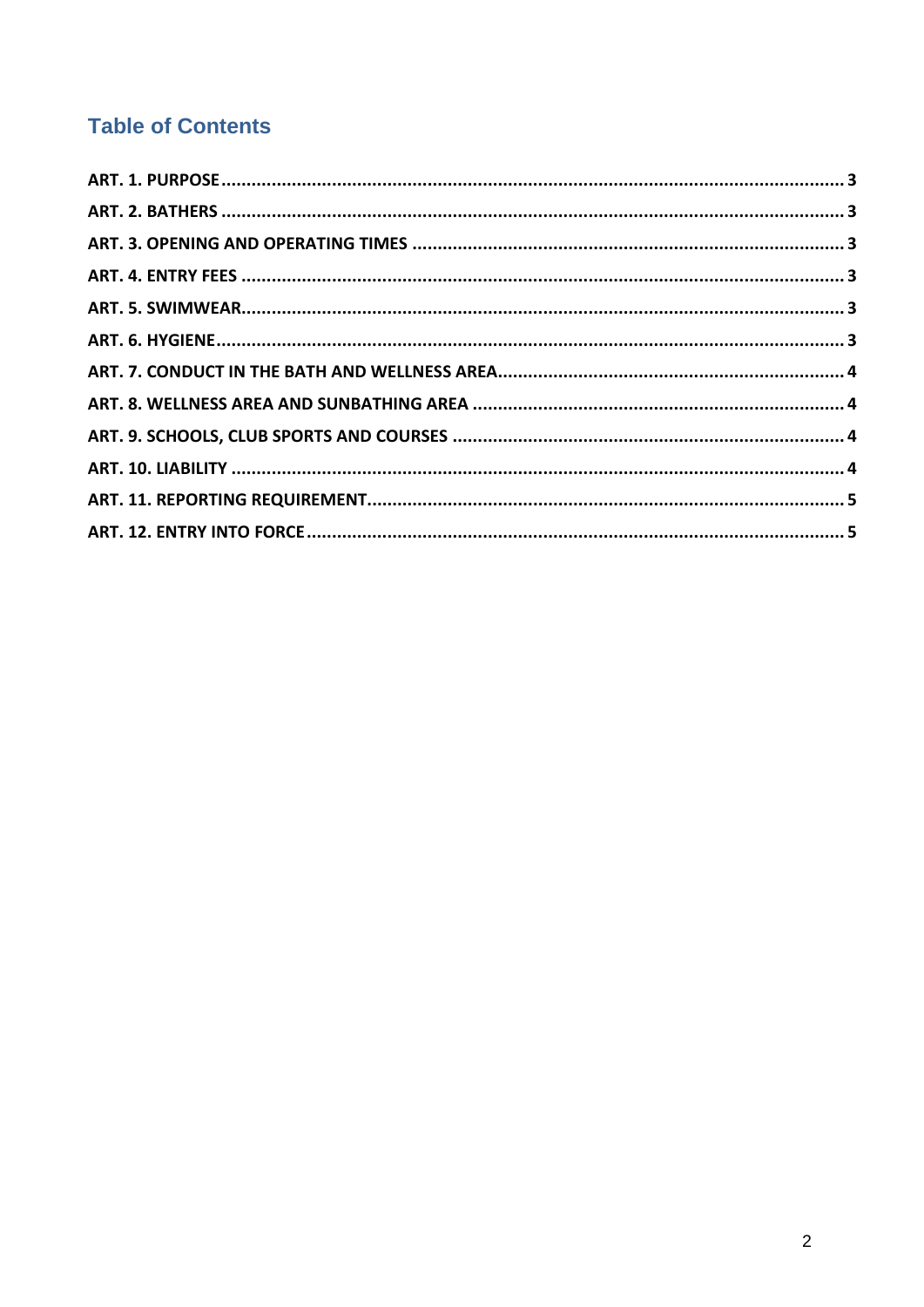# **Table of Contents**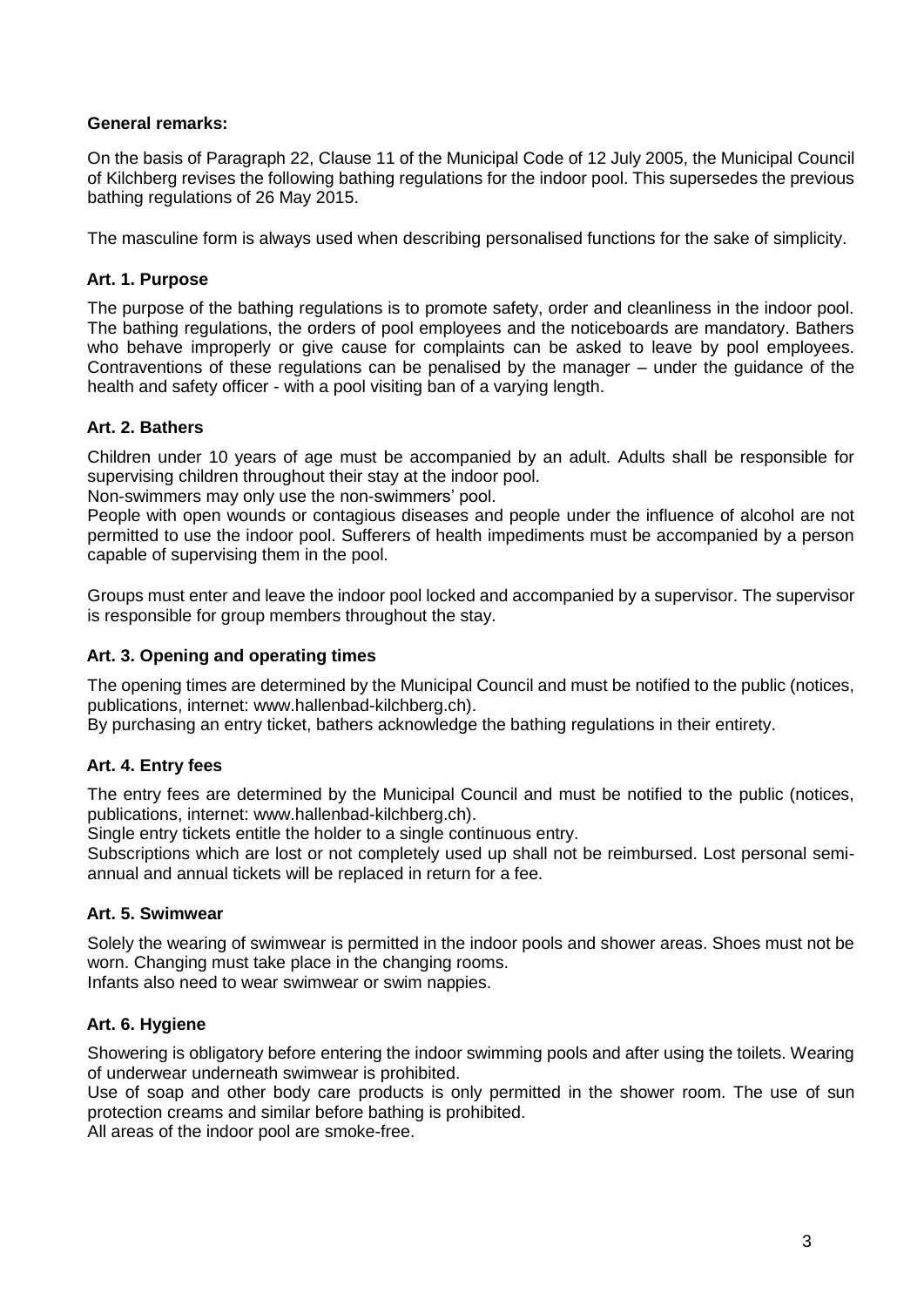#### **General remarks:**

On the basis of Paragraph 22, Clause 11 of the Municipal Code of 12 July 2005, the Municipal Council of Kilchberg revises the following bathing regulations for the indoor pool. This supersedes the previous bathing regulations of 26 May 2015.

The masculine form is always used when describing personalised functions for the sake of simplicity.

# <span id="page-2-0"></span>**Art. 1. Purpose**

The purpose of the bathing regulations is to promote safety, order and cleanliness in the indoor pool. The bathing regulations, the orders of pool employees and the noticeboards are mandatory. Bathers who behave improperly or give cause for complaints can be asked to leave by pool employees. Contraventions of these regulations can be penalised by the manager – under the guidance of the health and safety officer - with a pool visiting ban of a varying length.

# <span id="page-2-1"></span>**Art. 2. Bathers**

Children under 10 years of age must be accompanied by an adult. Adults shall be responsible for supervising children throughout their stay at the indoor pool.

Non-swimmers may only use the non-swimmers' pool.

People with open wounds or contagious diseases and people under the influence of alcohol are not permitted to use the indoor pool. Sufferers of health impediments must be accompanied by a person capable of supervising them in the pool.

Groups must enter and leave the indoor pool locked and accompanied by a supervisor. The supervisor is responsible for group members throughout the stay.

#### <span id="page-2-2"></span>**Art. 3. Opening and operating times**

The opening times are determined by the Municipal Council and must be notified to the public (notices, publications, internet: www.hallenbad-kilchberg.ch).

By purchasing an entry ticket, bathers acknowledge the bathing regulations in their entirety.

#### <span id="page-2-3"></span>**Art. 4. Entry fees**

The entry fees are determined by the Municipal Council and must be notified to the public (notices, publications, internet: www.hallenbad-kilchberg.ch).

Single entry tickets entitle the holder to a single continuous entry.

Subscriptions which are lost or not completely used up shall not be reimbursed. Lost personal semiannual and annual tickets will be replaced in return for a fee.

#### <span id="page-2-4"></span>**Art. 5. Swimwear**

Solely the wearing of swimwear is permitted in the indoor pools and shower areas. Shoes must not be worn. Changing must take place in the changing rooms.

Infants also need to wear swimwear or swim nappies.

#### <span id="page-2-5"></span>**Art. 6. Hygiene**

Showering is obligatory before entering the indoor swimming pools and after using the toilets. Wearing of underwear underneath swimwear is prohibited.

Use of soap and other body care products is only permitted in the shower room. The use of sun protection creams and similar before bathing is prohibited.

All areas of the indoor pool are smoke-free.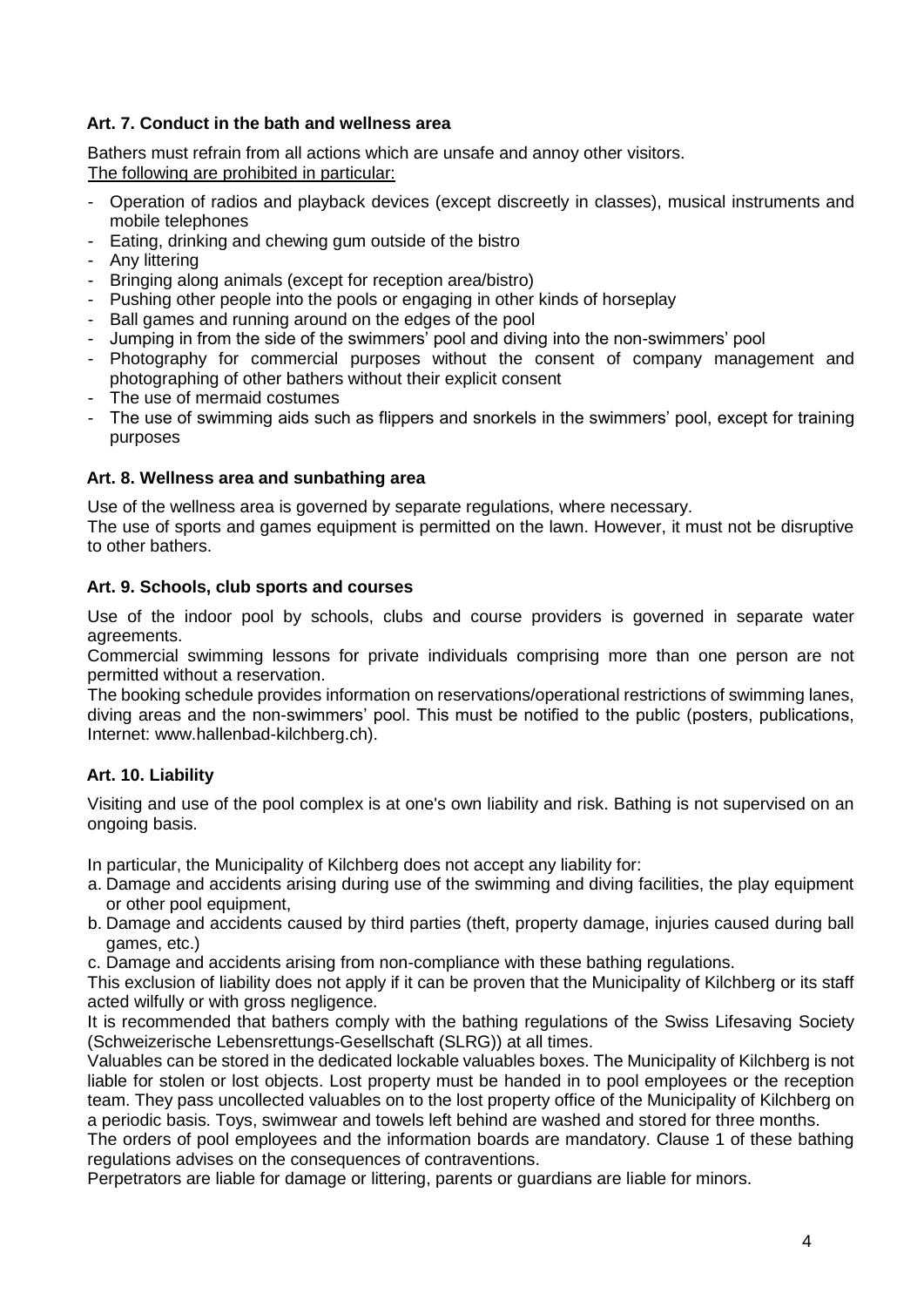# <span id="page-3-0"></span>**Art. 7. Conduct in the bath and wellness area**

Bathers must refrain from all actions which are unsafe and annoy other visitors. The following are prohibited in particular:

- Operation of radios and playback devices (except discreetly in classes), musical instruments and mobile telephones
- Eating, drinking and chewing gum outside of the bistro
- Any littering
- Bringing along animals (except for reception area/bistro)
- Pushing other people into the pools or engaging in other kinds of horseplay
- Ball games and running around on the edges of the pool
- Jumping in from the side of the swimmers' pool and diving into the non-swimmers' pool
- Photography for commercial purposes without the consent of company management and photographing of other bathers without their explicit consent
- The use of mermaid costumes
- The use of swimming aids such as flippers and snorkels in the swimmers' pool, except for training purposes

#### <span id="page-3-1"></span>**Art. 8. Wellness area and sunbathing area**

Use of the wellness area is governed by separate regulations, where necessary.

The use of sports and games equipment is permitted on the lawn. However, it must not be disruptive to other bathers.

#### <span id="page-3-2"></span>**Art. 9. Schools, club sports and courses**

Use of the indoor pool by schools, clubs and course providers is governed in separate water agreements.

Commercial swimming lessons for private individuals comprising more than one person are not permitted without a reservation.

The booking schedule provides information on reservations/operational restrictions of swimming lanes, diving areas and the non-swimmers' pool. This must be notified to the public (posters, publications, Internet: www.hallenbad-kilchberg.ch).

# <span id="page-3-3"></span>**Art. 10. Liability**

Visiting and use of the pool complex is at one's own liability and risk. Bathing is not supervised on an ongoing basis.

In particular, the Municipality of Kilchberg does not accept any liability for:

- a. Damage and accidents arising during use of the swimming and diving facilities, the play equipment or other pool equipment,
- b. Damage and accidents caused by third parties (theft, property damage, injuries caused during ball games, etc.)

c. Damage and accidents arising from non-compliance with these bathing regulations.

This exclusion of liability does not apply if it can be proven that the Municipality of Kilchberg or its staff acted wilfully or with gross negligence.

It is recommended that bathers comply with the bathing regulations of the Swiss Lifesaving Society (Schweizerische Lebensrettungs-Gesellschaft (SLRG)) at all times.

Valuables can be stored in the dedicated lockable valuables boxes. The Municipality of Kilchberg is not liable for stolen or lost objects. Lost property must be handed in to pool employees or the reception team. They pass uncollected valuables on to the lost property office of the Municipality of Kilchberg on a periodic basis. Toys, swimwear and towels left behind are washed and stored for three months.

The orders of pool employees and the information boards are mandatory. Clause 1 of these bathing regulations advises on the consequences of contraventions.

Perpetrators are liable for damage or littering, parents or guardians are liable for minors.